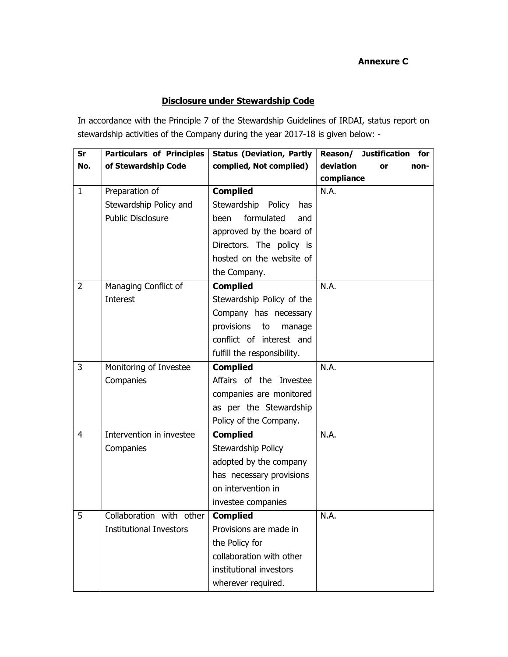## Annexure C

## Disclosure under Stewardship Code

In accordance with the Principle 7 of the Stewardship Guidelines of IRDAI, status report on stewardship activities of the Company during the year 2017-18 is given below: -

| Sr             | <b>Particulars of Principles</b> | <b>Status (Deviation, Partly</b> | <b>Justification</b><br>Reason/<br>for <b>f</b> |
|----------------|----------------------------------|----------------------------------|-------------------------------------------------|
| No.            | of Stewardship Code              | complied, Not complied)          | deviation<br>non-<br>or                         |
|                |                                  |                                  | compliance                                      |
| $\mathbf{1}$   | Preparation of                   | <b>Complied</b>                  | N.A.                                            |
|                | Stewardship Policy and           | Stewardship Policy<br>has        |                                                 |
|                | <b>Public Disclosure</b>         | formulated<br>been<br>and        |                                                 |
|                |                                  | approved by the board of         |                                                 |
|                |                                  | Directors. The policy is         |                                                 |
|                |                                  | hosted on the website of         |                                                 |
|                |                                  | the Company.                     |                                                 |
| 2              | Managing Conflict of             | <b>Complied</b>                  | N.A.                                            |
|                | <b>Interest</b>                  | Stewardship Policy of the        |                                                 |
|                |                                  | Company has necessary            |                                                 |
|                |                                  | provisions<br>to<br>manage       |                                                 |
|                |                                  | conflict of interest and         |                                                 |
|                |                                  | fulfill the responsibility.      |                                                 |
| 3              | Monitoring of Investee           | <b>Complied</b>                  | N.A.                                            |
|                | Companies                        | Affairs of the Investee          |                                                 |
|                |                                  | companies are monitored          |                                                 |
|                |                                  | as per the Stewardship           |                                                 |
|                |                                  | Policy of the Company.           |                                                 |
| $\overline{4}$ | Intervention in investee         | <b>Complied</b>                  | N.A.                                            |
|                | Companies                        | Stewardship Policy               |                                                 |
|                |                                  | adopted by the company           |                                                 |
|                |                                  | has necessary provisions         |                                                 |
|                |                                  | on intervention in               |                                                 |
|                |                                  | investee companies               |                                                 |
| -5             | Collaboration with other         | <b>Complied</b>                  | N.A.                                            |
|                | <b>Institutional Investors</b>   | Provisions are made in           |                                                 |
|                |                                  | the Policy for                   |                                                 |
|                |                                  | collaboration with other         |                                                 |
|                |                                  | institutional investors          |                                                 |
|                |                                  | wherever required.               |                                                 |